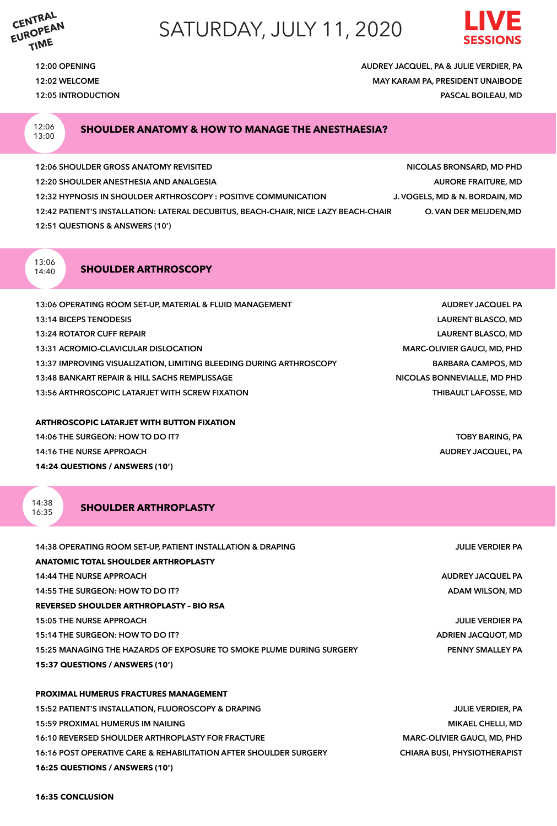**CENTRAL EUROPEAN TIME**

## SATURDAY, JULY 11, 2020



**12:00 OPENING AUDREY JACQUEL, PA & JULIE VERDIER, PA**

**12:02 WELCOME MAY KARAM PA, PRESIDENT UNAIBODE 12:05 INTRODUCTION PASCAL BOILEAU, MD**

12:06 13:00

#### **SHOULDER ANATOMY & HOW TO MANAGE THE ANESTHAESIA?**

**12:06 SHOULDER GROSS ANATOMY REVISITED NICOLAS BRONSARD, MD PHD 12:20 SHOULDER ANESTHESIA AND ANALGESIA AURORE FRAITURE, MD 12:32 HYPNOSIS IN SHOULDER ARTHROSCOPY : POSITIVE COMMUNICATION J. VOGELS, MD & N. BORDAIN, MD 12:42 PATIENT'S INSTALLATION: LATERAL DECUBITUS, BEACH-CHAIR, NICE LAZY BEACH-CHAIR O. VAN DER MEIJDEN,MD 12:51 QUESTIONS & ANSWERS (10')** 

13:06 14:40

#### **SHOULDER ARTHROSCOPY**

| 13:06 OPERATING ROOM SET-UP, MATERIAL & FLUID MANAGEMENT            | <b>AUDREY JACQUEL PA</b>           |
|---------------------------------------------------------------------|------------------------------------|
| <b>13:14 BICEPS TENODESIS</b>                                       | <b>LAURENT BLASCO, MD</b>          |
| <b>13:24 ROTATOR CUFF REPAIR</b>                                    | <b>LAURENT BLASCO, MD</b>          |
| 13:31 ACROMIO-CLAVICULAR DISLOCATION                                | <b>MARC-OLIVIER GAUCI, MD, PHD</b> |
| 13:37 IMPROVING VISUALIZATION, LIMITING BLEEDING DURING ARTHROSCOPY | <b>BARBARA CAMPOS, MD</b>          |
| 13:48 BANKART REPAIR & HILL SACHS REMPLISSAGE                       | NICOLAS BONNEVIALLE, MD PHD        |
| 13:56 ARTHROSCOPIC LATARJET WITH SCREW FIXATION                     | <b>THIBAULT LAFOSSE, MD</b>        |
|                                                                     |                                    |

#### **ARTHROSCOPIC LATARJET WITH BUTTON FIXATION**

**14:06 THE SURGEON: HOW TO DO IT? TOBY BARING, PA 14:16 THE NURSE APPROACH AUDREY JACQUEL, PA 14:24 QUESTIONS / ANSWERS (10')** 

 $14.38$ 16:35

#### **SHOULDER ARTHROPLASTY**

| 14:38 OPERATING ROOM SET-UP, PATIENT INSTALLATION & DRAPING          | <b>JULIE VERDIER PA</b>             |
|----------------------------------------------------------------------|-------------------------------------|
| <b>ANATOMIC TOTAL SHOULDER ARTHROPLASTY</b>                          |                                     |
| <b>14:44 THE NURSE APPROACH</b>                                      | AUDREY JACQUEL PA                   |
| 14:55 THE SURGEON: HOW TO DO IT?                                     | ADAM WILSON, MD                     |
| <b>REVERSED SHOULDER ARTHROPLASTY - BIO RSA</b>                      |                                     |
| <b>15:05 THE NURSE APPROACH</b>                                      | <b>JULIE VERDIER PA</b>             |
| 15:14 THE SURGEON: HOW TO DO IT?                                     | ADRIEN JACQUOT, MD                  |
| 15:25 MANAGING THE HAZARDS OF EXPOSURE TO SMOKE PLUME DURING SURGERY | PENNY SMALLEY PA                    |
| 15:37 QUESTIONS / ANSWERS (10')                                      |                                     |
|                                                                      |                                     |
| <b>PROXIMAL HUMERUS FRACTURES MANAGEMENT</b>                         |                                     |
| 15:52 PATIENT'S INSTALLATION, FLUOROSCOPY & DRAPING                  | <b>JULIE VERDIER, PA</b>            |
| 15:59 PROXIMAL HUMERUS IM NAILING                                    | <b>MIKAEL CHELLI, MD</b>            |
| 16:10 REVERSED SHOULDER ARTHROPLASTY FOR FRACTURE                    | <b>MARC-OLIVIER GAUCI, MD, PHD</b>  |
| 16:16 POST OPERATIVE CARE & REHABILITATION AFTER SHOULDER SURGERY    | <b>CHIARA BUSI, PHYSIOTHERAPIST</b> |

**16:25 QUESTIONS / ANSWERS (10')** 

**16:35 CONCLUSION**